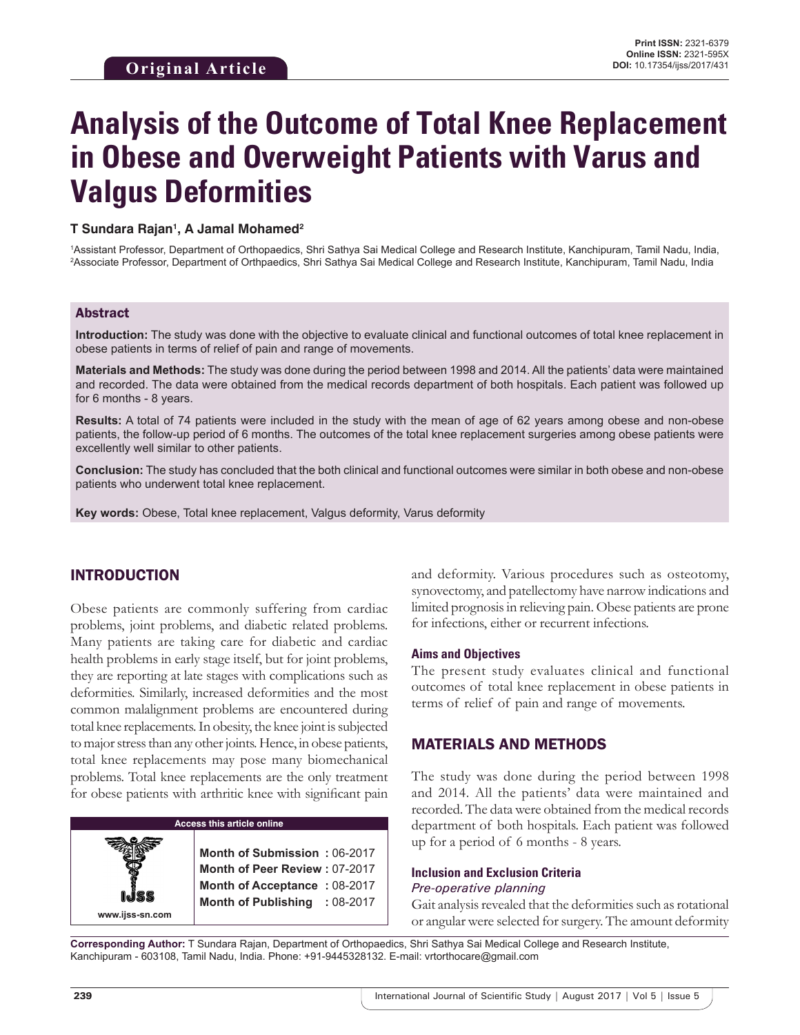# **Analysis of the Outcome of Total Knee Replacement in Obese and Overweight Patients with Varus and Valgus Deformities**

#### **T Sundara Rajan1 , A Jamal Mohamed2**

1 Assistant Professor, Department of Orthopaedics, Shri Sathya Sai Medical College and Research Institute, Kanchipuram, Tamil Nadu, India, 2 Associate Professor, Department of Orthpaedics, Shri Sathya Sai Medical College and Research Institute, Kanchipuram, Tamil Nadu, India

#### Abstract

**Introduction:** The study was done with the objective to evaluate clinical and functional outcomes of total knee replacement in obese patients in terms of relief of pain and range of movements.

**Materials and Methods:** The study was done during the period between 1998 and 2014. All the patients' data were maintained and recorded. The data were obtained from the medical records department of both hospitals. Each patient was followed up for 6 months - 8 years.

**Results:** A total of 74 patients were included in the study with the mean of age of 62 years among obese and non-obese patients, the follow-up period of 6 months. The outcomes of the total knee replacement surgeries among obese patients were excellently well similar to other patients.

**Conclusion:** The study has concluded that the both clinical and functional outcomes were similar in both obese and non-obese patients who underwent total knee replacement.

**Key words:** Obese, Total knee replacement, Valgus deformity, Varus deformity

### INTRODUCTION

Obese patients are commonly suffering from cardiac problems, joint problems, and diabetic related problems. Many patients are taking care for diabetic and cardiac health problems in early stage itself, but for joint problems, they are reporting at late stages with complications such as deformities. Similarly, increased deformities and the most common malalignment problems are encountered during total knee replacements. In obesity, the knee joint is subjected to major stress than any other joints. Hence, in obese patients, total knee replacements may pose many biomechanical problems. Total knee replacements are the only treatment for obese patients with arthritic knee with significant pain

**Access this article online www.ijss-sn.com Month of Submission :** 06-2017 **Month of Peer Review :** 07-2017 **Month of Acceptance :** 08-2017 **Month of Publishing :** 08-2017 and deformity. Various procedures such as osteotomy, synovectomy, and patellectomy have narrow indications and limited prognosis in relieving pain. Obese patients are prone for infections, either or recurrent infections.

#### **Aims and Objectives**

The present study evaluates clinical and functional outcomes of total knee replacement in obese patients in terms of relief of pain and range of movements.

#### MATERIALS AND METHODS

The study was done during the period between 1998 and 2014. All the patients' data were maintained and recorded. The data were obtained from the medical records department of both hospitals. Each patient was followed up for a period of 6 months - 8 years.

#### **Inclusion and Exclusion Criteria** *Pre-operative planning*

Gait analysis revealed that the deformities such as rotational or angular were selected for surgery. The amount deformity

**Corresponding Author:** T Sundara Rajan, Department of Orthopaedics, Shri Sathya Sai Medical College and Research Institute, Kanchipuram - 603108, Tamil Nadu, India. Phone: +91-9445328132. E-mail: vrtorthocare@gmail.com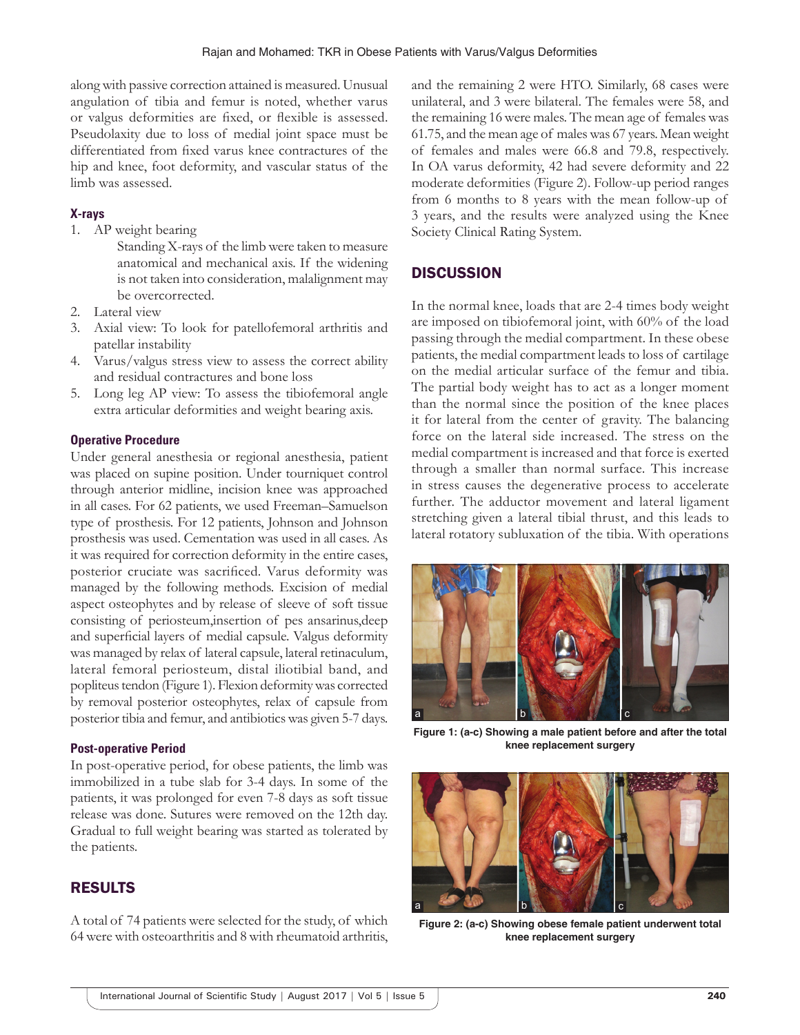along with passive correction attained is measured. Unusual angulation of tibia and femur is noted, whether varus or valgus deformities are fixed, or flexible is assessed. Pseudolaxity due to loss of medial joint space must be differentiated from fixed varus knee contractures of the hip and knee, foot deformity, and vascular status of the limb was assessed.

## **X-rays**

- 1. AP weight bearing
	- Standing X-rays of the limb were taken to measure anatomical and mechanical axis. If the widening is not taken into consideration, malalignment may be overcorrected.
- 2. Lateral view
- 3. Axial view: To look for patellofemoral arthritis and patellar instability
- 4. Varus/valgus stress view to assess the correct ability and residual contractures and bone loss
- 5. Long leg AP view: To assess the tibiofemoral angle extra articular deformities and weight bearing axis.

## **Operative Procedure**

Under general anesthesia or regional anesthesia, patient was placed on supine position. Under tourniquet control through anterior midline, incision knee was approached in all cases. For 62 patients, we used Freeman–Samuelson type of prosthesis. For 12 patients, Johnson and Johnson prosthesis was used. Cementation was used in all cases. As it was required for correction deformity in the entire cases, posterior cruciate was sacrificed. Varus deformity was managed by the following methods. Excision of medial aspect osteophytes and by release of sleeve of soft tissue consisting of periosteum,insertion of pes ansarinus,deep and superficial layers of medial capsule. Valgus deformity was managed by relax of lateral capsule, lateral retinaculum, lateral femoral periosteum, distal iliotibial band, and popliteus tendon (Figure 1). Flexion deformity was corrected by removal posterior osteophytes, relax of capsule from posterior tibia and femur, and antibiotics was given 5-7 days.

### **Post-operative Period**

In post-operative period, for obese patients, the limb was immobilized in a tube slab for 3-4 days. In some of the patients, it was prolonged for even 7-8 days as soft tissue release was done. Sutures were removed on the 12th day. Gradual to full weight bearing was started as tolerated by the patients.

## RESULTS

A total of 74 patients were selected for the study, of which 64 were with osteoarthritis and 8 with rheumatoid arthritis, and the remaining 2 were HTO. Similarly, 68 cases were unilateral, and 3 were bilateral. The females were 58, and the remaining 16 were males. The mean age of females was 61.75, and the mean age of males was 67 years. Mean weight of females and males were 66.8 and 79.8, respectively. In OA varus deformity, 42 had severe deformity and 22 moderate deformities (Figure 2). Follow-up period ranges from 6 months to 8 years with the mean follow-up of 3 years, and the results were analyzed using the Knee Society Clinical Rating System.

# **DISCUSSION**

In the normal knee, loads that are 2-4 times body weight are imposed on tibiofemoral joint, with 60% of the load passing through the medial compartment. In these obese patients, the medial compartment leads to loss of cartilage on the medial articular surface of the femur and tibia. The partial body weight has to act as a longer moment than the normal since the position of the knee places it for lateral from the center of gravity. The balancing force on the lateral side increased. The stress on the medial compartment is increased and that force is exerted through a smaller than normal surface. This increase in stress causes the degenerative process to accelerate further. The adductor movement and lateral ligament stretching given a lateral tibial thrust, and this leads to lateral rotatory subluxation of the tibia. With operations



**Figure 1: (a-c) Showing a male patient before and after the total knee replacement surgery**



**Figure 2: (a-c) Showing obese female patient underwent total knee replacement surgery**